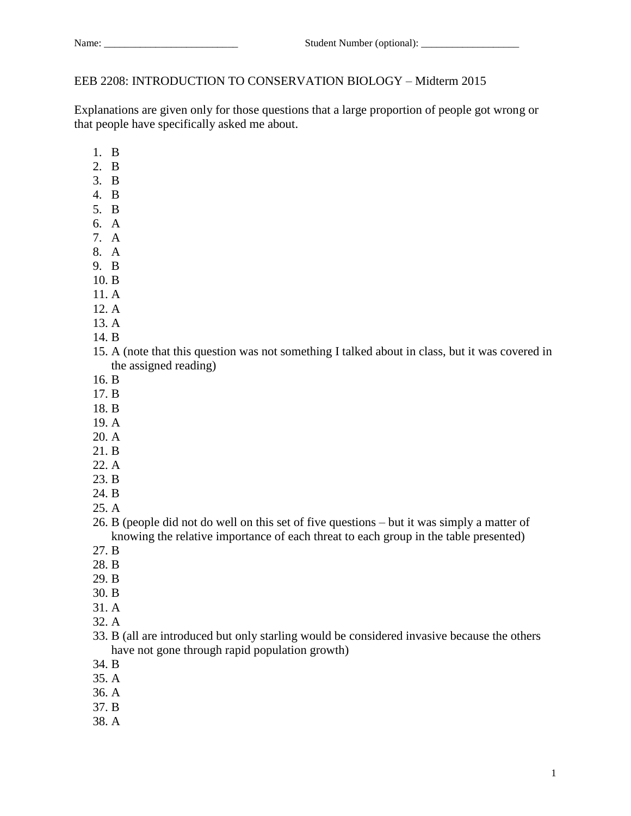## EEB 2208: INTRODUCTION TO CONSERVATION BIOLOGY – Midterm 2015

Explanations are given only for those questions that a large proportion of people got wrong or that people have specifically asked me about.

- 1. B
- 2. B
- 3. B
- 4. B
- 5. B
- 6. A 7. A
- 8. A
- 9. B
- 10. B
- 11. A
- 12. A
- 13. A
- 
- 14. B
- 15. A (note that this question was not something I talked about in class, but it was covered in the assigned reading)
- 16. B
- 17. B
- 18. B
- 19. A
- 20. A
- 21. B
- 22. A
- 23. B
- 24. B
- 25. A
- 26. B (people did not do well on this set of five questions but it was simply a matter of knowing the relative importance of each threat to each group in the table presented)
- 27. B
- 28. B
- 29. B
- 30. B
- 31. A
- 32. A
- 33. B (all are introduced but only starling would be considered invasive because the others have not gone through rapid population growth)
- 34. B
- 35. A
- 36. A
- 37. B
- 38. A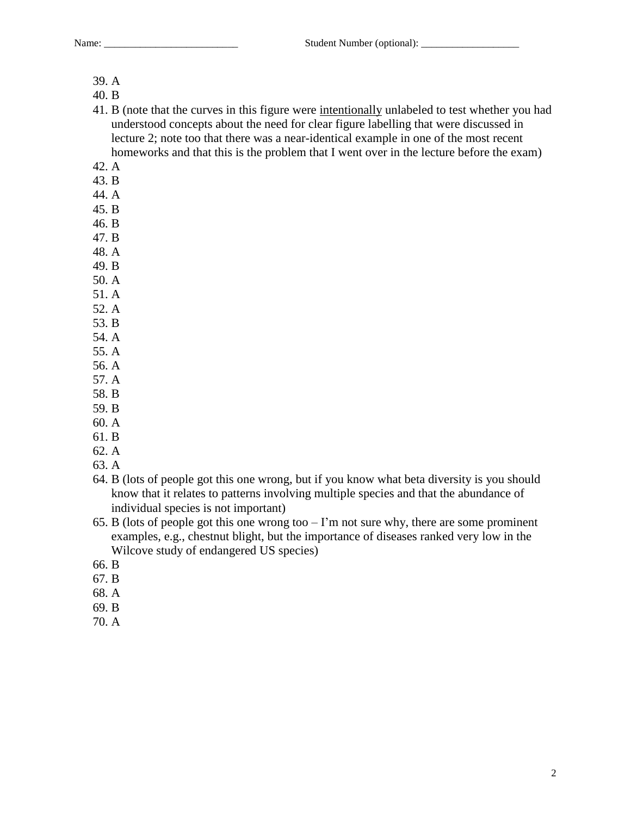Name: \_\_\_\_\_\_\_\_\_\_\_\_\_\_\_\_\_\_\_\_\_\_\_\_\_\_ Student Number (optional): \_\_\_\_\_\_\_\_\_\_\_\_\_\_\_\_\_\_\_

- 39. A
- 40. B
- 41. B (note that the curves in this figure were intentionally unlabeled to test whether you had understood concepts about the need for clear figure labelling that were discussed in lecture 2; note too that there was a near-identical example in one of the most recent homeworks and that this is the problem that I went over in the lecture before the exam)
- 42. A
- 43. B
- 44. A
- 45. B
- 46. B
- 47. B
- 48. A
- 49. B
- 50. A
- 51. A
- 52. A
- 53. B
- 54. A
- 55. A 56. A
- 57. A
- 58. B
- 59. B
- 60. A
- 61. B
- 62. A
- 63. A
- 64. B (lots of people got this one wrong, but if you know what beta diversity is you should know that it relates to patterns involving multiple species and that the abundance of individual species is not important)
- 65. B (lots of people got this one wrong too  $-1$ 'm not sure why, there are some prominent examples, e.g., chestnut blight, but the importance of diseases ranked very low in the Wilcove study of endangered US species)
- 66. B
- 67. B
- 68. A
- 69. B
- 70. A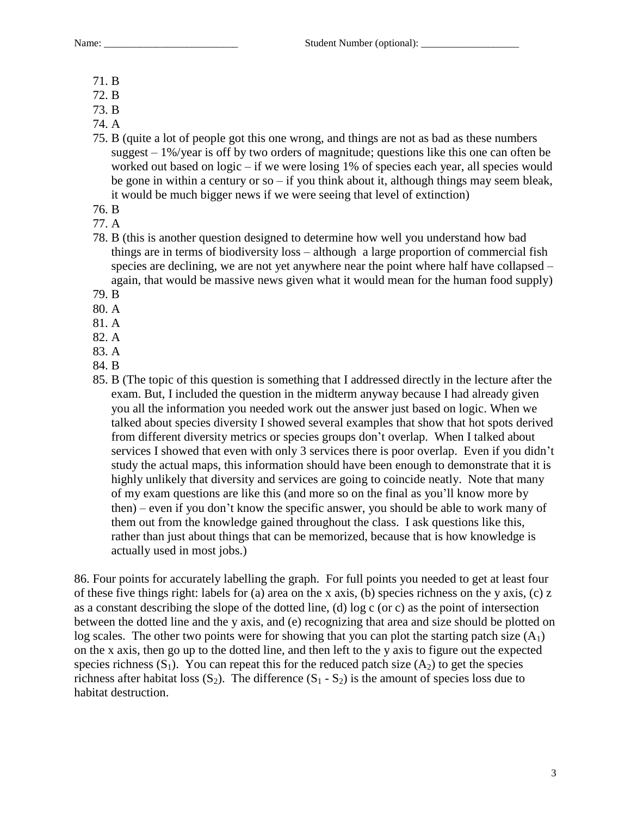Name:  $\qquad \qquad$  Student Number (optional):

- 71. B
- 72. B
- 73. B
- 74. A
- 75. B (quite a lot of people got this one wrong, and things are not as bad as these numbers suggest  $-1\%$ /year is off by two orders of magnitude; questions like this one can often be worked out based on logic – if we were losing 1% of species each year, all species would be gone in within a century or so – if you think about it, although things may seem bleak, it would be much bigger news if we were seeing that level of extinction)
- 76. B
- 77. A
- 78. B (this is another question designed to determine how well you understand how bad things are in terms of biodiversity loss – although a large proportion of commercial fish species are declining, we are not yet anywhere near the point where half have collapsed – again, that would be massive news given what it would mean for the human food supply)
- 79. B
- 80. A
- 81. A
- 82. A
- 83. A
- 84. B
- 85. B (The topic of this question is something that I addressed directly in the lecture after the exam. But, I included the question in the midterm anyway because I had already given you all the information you needed work out the answer just based on logic. When we talked about species diversity I showed several examples that show that hot spots derived from different diversity metrics or species groups don't overlap. When I talked about services I showed that even with only 3 services there is poor overlap. Even if you didn't study the actual maps, this information should have been enough to demonstrate that it is highly unlikely that diversity and services are going to coincide neatly. Note that many of my exam questions are like this (and more so on the final as you'll know more by then) – even if you don't know the specific answer, you should be able to work many of them out from the knowledge gained throughout the class. I ask questions like this, rather than just about things that can be memorized, because that is how knowledge is actually used in most jobs.)

86. Four points for accurately labelling the graph. For full points you needed to get at least four of these five things right: labels for (a) area on the x axis, (b) species richness on the y axis, (c) z as a constant describing the slope of the dotted line, (d) log c (or c) as the point of intersection between the dotted line and the y axis, and (e) recognizing that area and size should be plotted on log scales. The other two points were for showing that you can plot the starting patch size  $(A_1)$ on the x axis, then go up to the dotted line, and then left to the y axis to figure out the expected species richness  $(S_1)$ . You can repeat this for the reduced patch size  $(A_2)$  to get the species richness after habitat loss  $(S_2)$ . The difference  $(S_1 - S_2)$  is the amount of species loss due to habitat destruction.